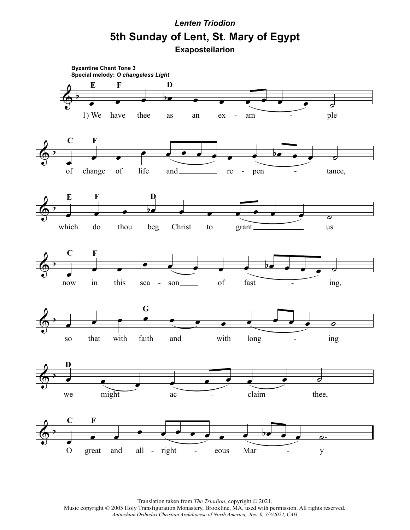## **Exaposteilarion 5th Sunday of Lent, St. Mary of Egypt** *Lenten Triodion*



Translation taken from *The Triodion*, copyright © 2021. Music copyright © 2005 Holy Transfiguration Monastery, Brookline, MA, used with permission. All rights reserved. *Antiochian Orthodox Christian Archdiocese of North America, Rev. 0, 3/3/2022, CAH*